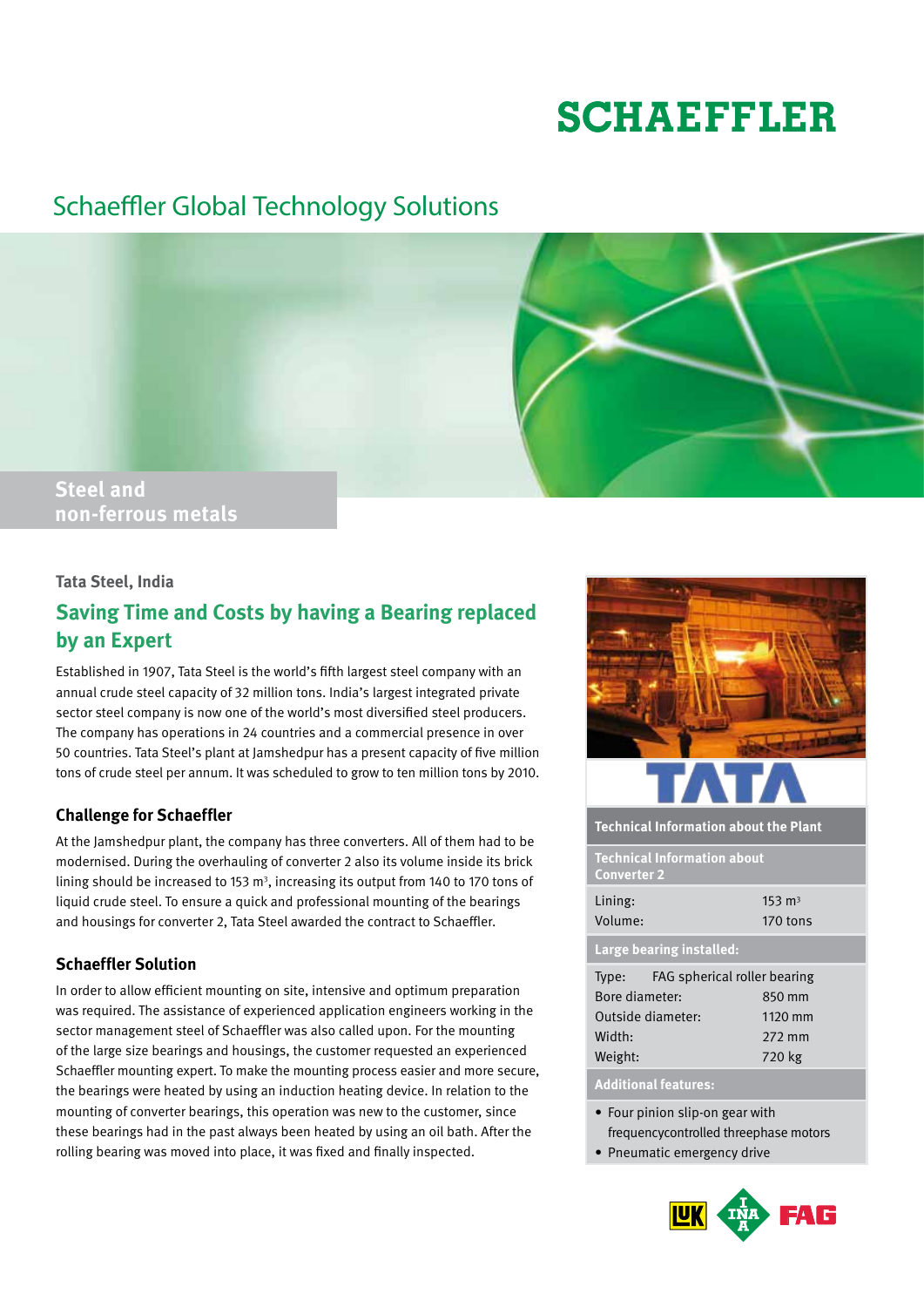# **SCHAEFFLER**

# Schaeffler Global Technology Solutions



## **Tata Steel, India**

# **Saving Time and Costs by having a Bearing replaced by an Expert**

Established in 1907, Tata Steel is the world's fifth largest steel company with an annual crude steel capacity of 32 million tons. India's largest integrated private sector steel company is now one of the world's most diversified steel producers. The company has operations in 24 countries and a commercial presence in over 50 countries. Tata Steel's plant at Jamshedpur has a present capacity of five million tons of crude steel per annum. It was scheduled to grow to ten million tons by 2010.

## **Challenge for Schaeffler**

At the Jamshedpur plant, the company has three converters. All of them had to be modernised. During the overhauling of converter 2 also its volume inside its brick lining should be increased to 153  $m<sup>3</sup>$ , increasing its output from 140 to 170 tons of liquid crude steel. To ensure a quick and professional mounting of the bearings and housings for converter 2, Tata Steel awarded the contract to Schaeffler.

# **Schaeffler Solution**

In order to allow efficient mounting on site, intensive and optimum preparation was required. The assistance of experienced application engineers working in the sector management steel of Schaeffler was also called upon. For the mounting of the large size bearings and housings, the customer requested an experienced Schaeffler mounting expert. To make the mounting process easier and more secure, the bearings were heated by using an induction heating device. In relation to the mounting of converter bearings, this operation was new to the customer, since these bearings had in the past always been heated by using an oil bath. After the rolling bearing was moved into place, it was fixed and finally inspected.



**Technical Information about the Plant**

**Technical Information about Converter 2**

| Lining: | $153 \text{ m}^3$ |
|---------|-------------------|
| Volume: | 170 tons          |

**Large bearing installed:**

| Type:             | FAG spherical roller bearing |
|-------------------|------------------------------|
| Bore diameter:    | 850 mm                       |
| Outside diameter: | 1120 mm                      |
| Width:            | 272 mm                       |
| Weight:           | 720 kg                       |

### **Additional features:**

- Four pinion slip-on gear with frequencycontrolled threephase motors
- Pneumatic emergency drive